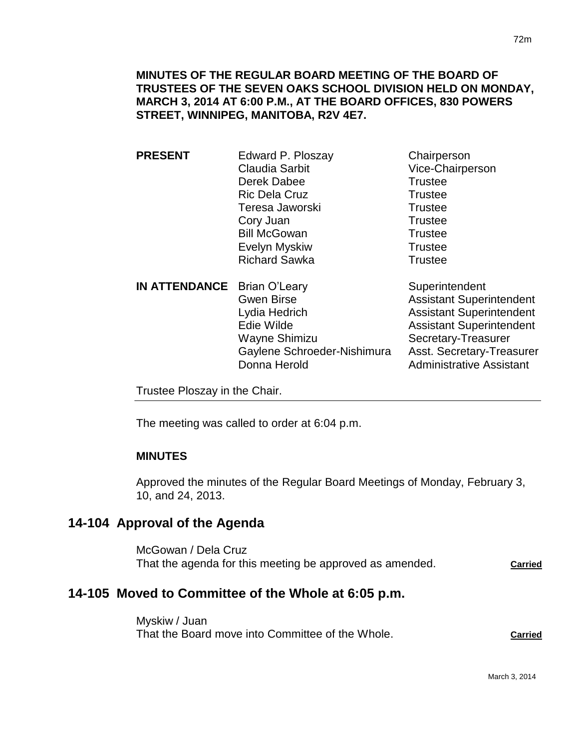| <b>PRESENT</b>                     | Edward P. Ploszay     | Chairperson                     |
|------------------------------------|-----------------------|---------------------------------|
|                                    | <b>Claudia Sarbit</b> | Vice-Chairperson                |
|                                    | Derek Dabee           | <b>Trustee</b>                  |
|                                    | <b>Ric Dela Cruz</b>  | <b>Trustee</b>                  |
|                                    | Teresa Jaworski       | <b>Trustee</b>                  |
|                                    | Cory Juan             | <b>Trustee</b>                  |
|                                    | <b>Bill McGowan</b>   | <b>Trustee</b>                  |
|                                    | Evelyn Myskiw         | <b>Trustee</b>                  |
|                                    | <b>Richard Sawka</b>  | <b>Trustee</b>                  |
| <b>IN ATTENDANCE</b> Brian O'Leary |                       | Superintendent                  |
|                                    | <b>Gwen Birse</b>     | <b>Assistant Superintendent</b> |
|                                    | Lydia Hedrich         | <b>Assistant Superintendent</b> |
|                                    | Edie Wilde            | <b>Assistant Superintendent</b> |

Wayne Shimizu Secretary-Treasurer Gaylene Schroeder-Nishimura Asst. Secretary-Treasurer Donna Herold **Administrative Assistant** 

Trustee Ploszay in the Chair.

The meeting was called to order at 6:04 p.m.

# **MINUTES**

Approved the minutes of the Regular Board Meetings of Monday, February 3, 10, and 24, 2013.

# **14-104 Approval of the Agenda**

McGowan / Dela Cruz That the agenda for this meeting be approved as amended. **Carried**

# **14-105 Moved to Committee of the Whole at 6:05 p.m.**

Myskiw / Juan That the Board move into Committee of the Whole. **Carried**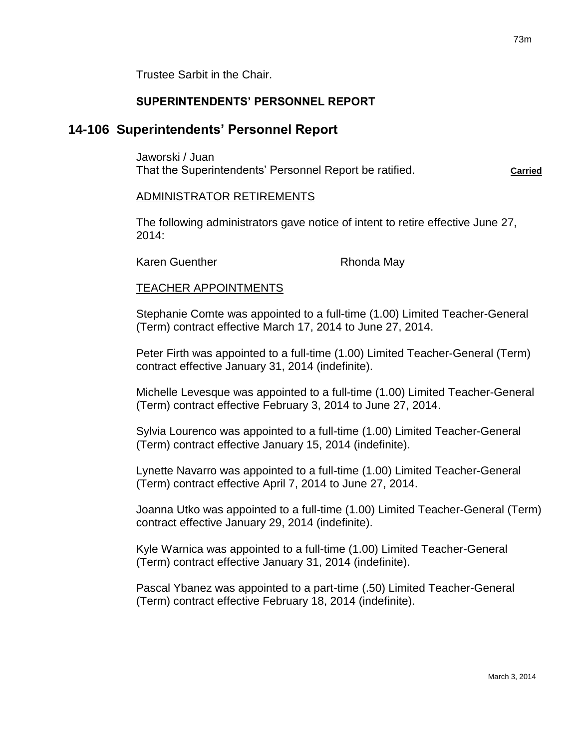Trustee Sarbit in the Chair.

### **SUPERINTENDENTS' PERSONNEL REPORT**

# **14-106 Superintendents' Personnel Report**

Jaworski / Juan That the Superintendents' Personnel Report be ratified. **Carried** Carried

ADMINISTRATOR RETIREMENTS

The following administrators gave notice of intent to retire effective June 27, 2014:

Karen Guenther **Rhonda May** 

#### TEACHER APPOINTMENTS

Stephanie Comte was appointed to a full-time (1.00) Limited Teacher-General (Term) contract effective March 17, 2014 to June 27, 2014.

Peter Firth was appointed to a full-time (1.00) Limited Teacher-General (Term) contract effective January 31, 2014 (indefinite).

Michelle Levesque was appointed to a full-time (1.00) Limited Teacher-General (Term) contract effective February 3, 2014 to June 27, 2014.

Sylvia Lourenco was appointed to a full-time (1.00) Limited Teacher-General (Term) contract effective January 15, 2014 (indefinite).

Lynette Navarro was appointed to a full-time (1.00) Limited Teacher-General (Term) contract effective April 7, 2014 to June 27, 2014.

Joanna Utko was appointed to a full-time (1.00) Limited Teacher-General (Term) contract effective January 29, 2014 (indefinite).

Kyle Warnica was appointed to a full-time (1.00) Limited Teacher-General (Term) contract effective January 31, 2014 (indefinite).

Pascal Ybanez was appointed to a part-time (.50) Limited Teacher-General (Term) contract effective February 18, 2014 (indefinite).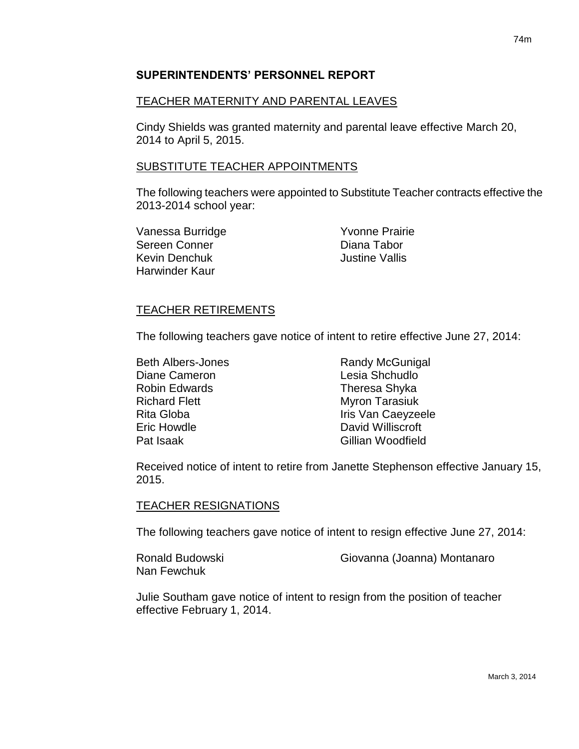### **SUPERINTENDENTS' PERSONNEL REPORT**

### TEACHER MATERNITY AND PARENTAL LEAVES

Cindy Shields was granted maternity and parental leave effective March 20, 2014 to April 5, 2015.

### SUBSTITUTE TEACHER APPOINTMENTS

The following teachers were appointed to Substitute Teacher contracts effective the 2013-2014 school year:

Vanessa Burridge **Yvonne Prairie** Sereen Conner **Diana Tabor** Kevin Denchuk **International Communist Communist Communist Communist Communist Communist Communist Communist Communist Communist Communist Communist Communist Communist Communist Communist Communist Communist Communist Com** Harwinder Kaur

#### TEACHER RETIREMENTS

The following teachers gave notice of intent to retire effective June 27, 2014:

| <b>Beth Albers-Jones</b> | <b>Randy McGunigal</b> |
|--------------------------|------------------------|
| Diane Cameron            | Lesia Shchudlo         |
| <b>Robin Edwards</b>     | Theresa Shyka          |
| <b>Richard Flett</b>     | <b>Myron Tarasiuk</b>  |
| Rita Globa               | Iris Van Caeyzeele     |
| <b>Eric Howdle</b>       | David Williscroft      |
| Pat Isaak                | Gillian Woodfield      |
|                          |                        |

Received notice of intent to retire from Janette Stephenson effective January 15, 2015.

#### TEACHER RESIGNATIONS

The following teachers gave notice of intent to resign effective June 27, 2014:

Nan Fewchuk

Ronald Budowski Giovanna (Joanna) Montanaro

Julie Southam gave notice of intent to resign from the position of teacher effective February 1, 2014.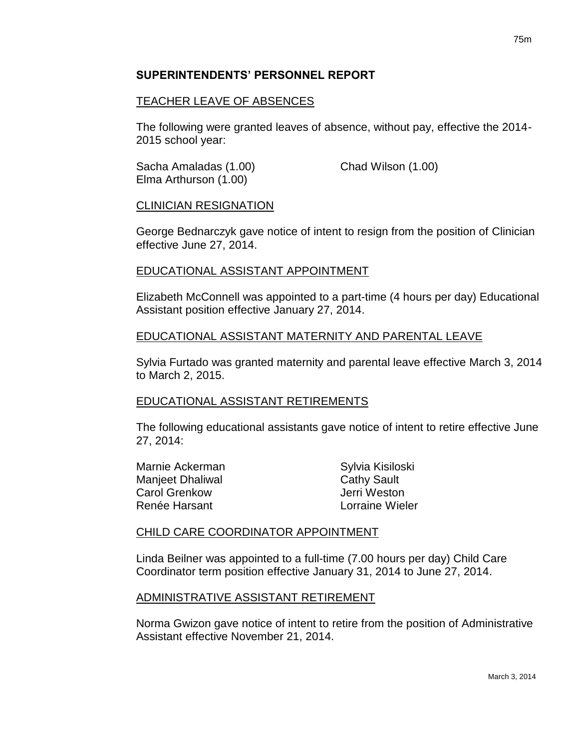### **SUPERINTENDENTS' PERSONNEL REPORT**

### TEACHER LEAVE OF ABSENCES

The following were granted leaves of absence, without pay, effective the 2014- 2015 school year:

Sacha Amaladas (1.00) Chad Wilson (1.00) Elma Arthurson (1.00)

#### CLINICIAN RESIGNATION

George Bednarczyk gave notice of intent to resign from the position of Clinician effective June 27, 2014.

### EDUCATIONAL ASSISTANT APPOINTMENT

Elizabeth McConnell was appointed to a part-time (4 hours per day) Educational Assistant position effective January 27, 2014.

### EDUCATIONAL ASSISTANT MATERNITY AND PARENTAL LEAVE

Sylvia Furtado was granted maternity and parental leave effective March 3, 2014 to March 2, 2015.

#### EDUCATIONAL ASSISTANT RETIREMENTS

The following educational assistants gave notice of intent to retire effective June 27, 2014:

| Marnie Ackerman  | Sylvia Kisiloski   |
|------------------|--------------------|
| Manjeet Dhaliwal | <b>Cathy Sault</b> |
| Carol Grenkow    | Jerri Weston       |
| Renée Harsant    | Lorraine Wieler    |
|                  |                    |

#### CHILD CARE COORDINATOR APPOINTMENT

Linda Beilner was appointed to a full-time (7.00 hours per day) Child Care Coordinator term position effective January 31, 2014 to June 27, 2014.

#### ADMINISTRATIVE ASSISTANT RETIREMENT

Norma Gwizon gave notice of intent to retire from the position of Administrative Assistant effective November 21, 2014.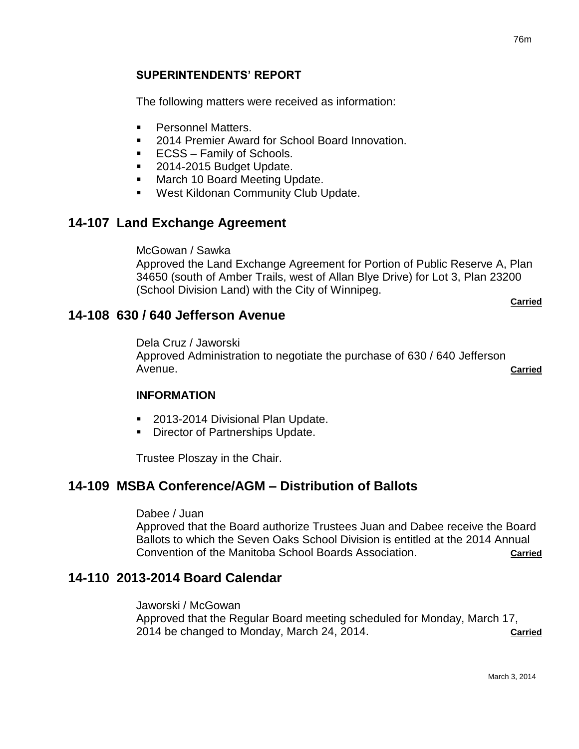### **SUPERINTENDENTS' REPORT**

The following matters were received as information:

- **Personnel Matters.**
- 2014 Premier Award for School Board Innovation.
- **ECSS** Family of Schools.
- 2014-2015 Budget Update.
- **March 10 Board Meeting Update.**
- West Kildonan Community Club Update.

# **14-107 Land Exchange Agreement**

McGowan / Sawka

Approved the Land Exchange Agreement for Portion of Public Reserve A, Plan 34650 (south of Amber Trails, west of Allan Blye Drive) for Lot 3, Plan 23200 (School Division Land) with the City of Winnipeg.

**Carried**

### **14-108 630 / 640 Jefferson Avenue**

Dela Cruz / Jaworski Approved Administration to negotiate the purchase of 630 / 640 Jefferson Avenue. **Carried**

#### **INFORMATION**

- 2013-2014 Divisional Plan Update.
- **Director of Partnerships Update.**

Trustee Ploszay in the Chair.

# **14-109 MSBA Conference/AGM – Distribution of Ballots**

#### Dabee / Juan

Approved that the Board authorize Trustees Juan and Dabee receive the Board Ballots to which the Seven Oaks School Division is entitled at the 2014 Annual Convention of the Manitoba School Boards Association. **Carried**

# **14-110 2013-2014 Board Calendar**

Jaworski / McGowan Approved that the Regular Board meeting scheduled for Monday, March 17, 2014 be changed to Monday, March 24, 2014. **Carried**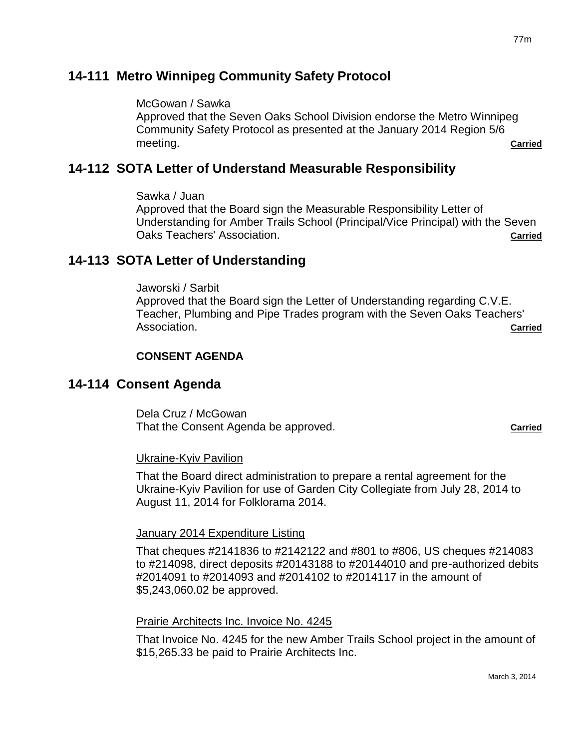# **14-111 Metro Winnipeg Community Safety Protocol**

McGowan / Sawka

Approved that the Seven Oaks School Division endorse the Metro Winnipeg Community Safety Protocol as presented at the January 2014 Region 5/6 meeting. **Carried**

# **14-112 SOTA Letter of Understand Measurable Responsibility**

Sawka / Juan

Approved that the Board sign the Measurable Responsibility Letter of Understanding for Amber Trails School (Principal/Vice Principal) with the Seven Oaks Teachers' Association. **Carried**

# **14-113 SOTA Letter of Understanding**

Jaworski / Sarbit Approved that the Board sign the Letter of Understanding regarding C.V.E. Teacher, Plumbing and Pipe Trades program with the Seven Oaks Teachers' Association. **Carried**

### **CONSENT AGENDA**

# **14-114 Consent Agenda**

Dela Cruz / McGowan That the Consent Agenda be approved. **Carried**

#### Ukraine-Kyiv Pavilion

That the Board direct administration to prepare a rental agreement for the Ukraine-Kyiv Pavilion for use of Garden City Collegiate from July 28, 2014 to August 11, 2014 for Folklorama 2014.

#### January 2014 Expenditure Listing

That cheques #2141836 to #2142122 and #801 to #806, US cheques #214083 to #214098, direct deposits #20143188 to #20144010 and pre-authorized debits #2014091 to #2014093 and #2014102 to #2014117 in the amount of \$5,243,060.02 be approved.

#### Prairie Architects Inc. Invoice No. 4245

That Invoice No. 4245 for the new Amber Trails School project in the amount of \$15,265.33 be paid to Prairie Architects Inc.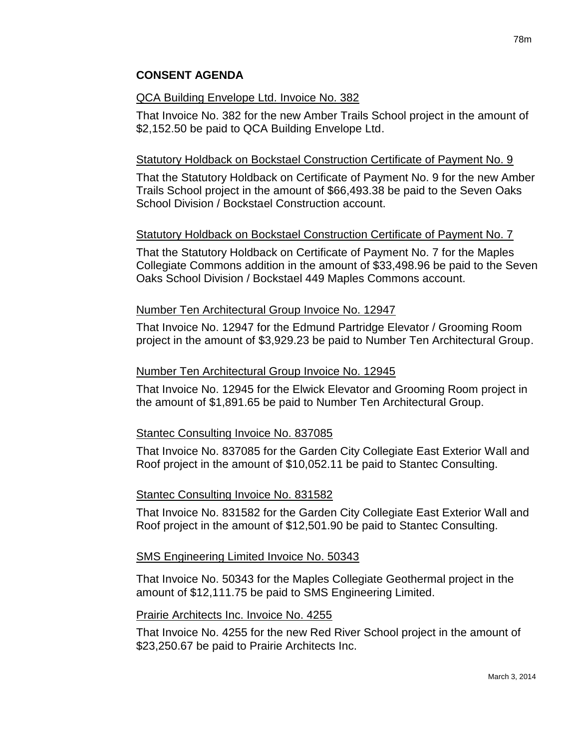# **CONSENT AGENDA**

#### QCA Building Envelope Ltd. Invoice No. 382

That Invoice No. 382 for the new Amber Trails School project in the amount of \$2,152.50 be paid to QCA Building Envelope Ltd.

#### Statutory Holdback on Bockstael Construction Certificate of Payment No. 9

That the Statutory Holdback on Certificate of Payment No. 9 for the new Amber Trails School project in the amount of \$66,493.38 be paid to the Seven Oaks School Division / Bockstael Construction account.

#### Statutory Holdback on Bockstael Construction Certificate of Payment No. 7

That the Statutory Holdback on Certificate of Payment No. 7 for the Maples Collegiate Commons addition in the amount of \$33,498.96 be paid to the Seven Oaks School Division / Bockstael 449 Maples Commons account.

#### Number Ten Architectural Group Invoice No. 12947

That Invoice No. 12947 for the Edmund Partridge Elevator / Grooming Room project in the amount of \$3,929.23 be paid to Number Ten Architectural Group.

#### Number Ten Architectural Group Invoice No. 12945

That Invoice No. 12945 for the Elwick Elevator and Grooming Room project in the amount of \$1,891.65 be paid to Number Ten Architectural Group.

#### Stantec Consulting Invoice No. 837085

That Invoice No. 837085 for the Garden City Collegiate East Exterior Wall and Roof project in the amount of \$10,052.11 be paid to Stantec Consulting.

#### Stantec Consulting Invoice No. 831582

That Invoice No. 831582 for the Garden City Collegiate East Exterior Wall and Roof project in the amount of \$12,501.90 be paid to Stantec Consulting.

#### SMS Engineering Limited Invoice No. 50343

That Invoice No. 50343 for the Maples Collegiate Geothermal project in the amount of \$12,111.75 be paid to SMS Engineering Limited.

#### Prairie Architects Inc. Invoice No. 4255

That Invoice No. 4255 for the new Red River School project in the amount of \$23,250.67 be paid to Prairie Architects Inc.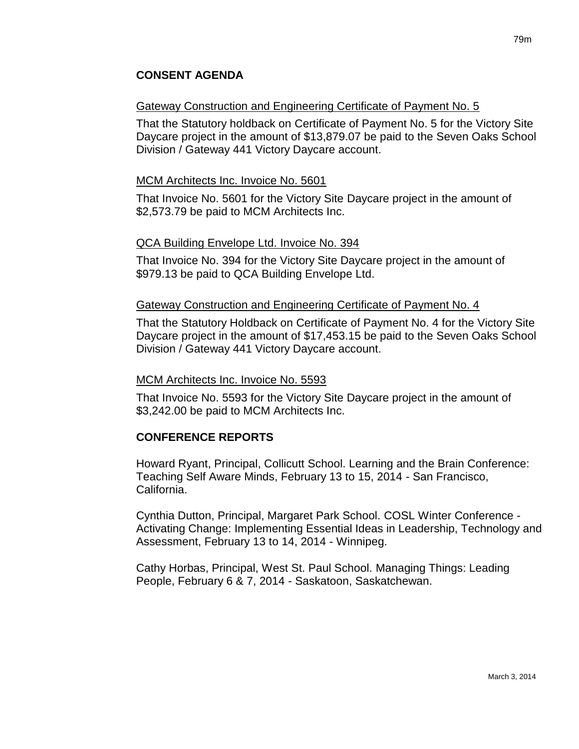# Gateway Construction and Engineering Certificate of Payment No. 5

That the Statutory holdback on Certificate of Payment No. 5 for the Victory Site Daycare project in the amount of \$13,879.07 be paid to the Seven Oaks School Division / Gateway 441 Victory Daycare account.

# MCM Architects Inc. Invoice No. 5601

That Invoice No. 5601 for the Victory Site Daycare project in the amount of \$2,573.79 be paid to MCM Architects Inc.

### QCA Building Envelope Ltd. Invoice No. 394

That Invoice No. 394 for the Victory Site Daycare project in the amount of \$979.13 be paid to QCA Building Envelope Ltd.

### Gateway Construction and Engineering Certificate of Payment No. 4

That the Statutory Holdback on Certificate of Payment No. 4 for the Victory Site Daycare project in the amount of \$17,453.15 be paid to the Seven Oaks School Division / Gateway 441 Victory Daycare account.

#### MCM Architects Inc. Invoice No. 5593

That Invoice No. 5593 for the Victory Site Daycare project in the amount of \$3,242.00 be paid to MCM Architects Inc.

# **CONFERENCE REPORTS**

Howard Ryant, Principal, Collicutt School. Learning and the Brain Conference: Teaching Self Aware Minds, February 13 to 15, 2014 - San Francisco, California.

Cynthia Dutton, Principal, Margaret Park School. COSL Winter Conference - Activating Change: Implementing Essential Ideas in Leadership, Technology and Assessment, February 13 to 14, 2014 - Winnipeg.

Cathy Horbas, Principal, West St. Paul School. Managing Things: Leading People, February 6 & 7, 2014 - Saskatoon, Saskatchewan.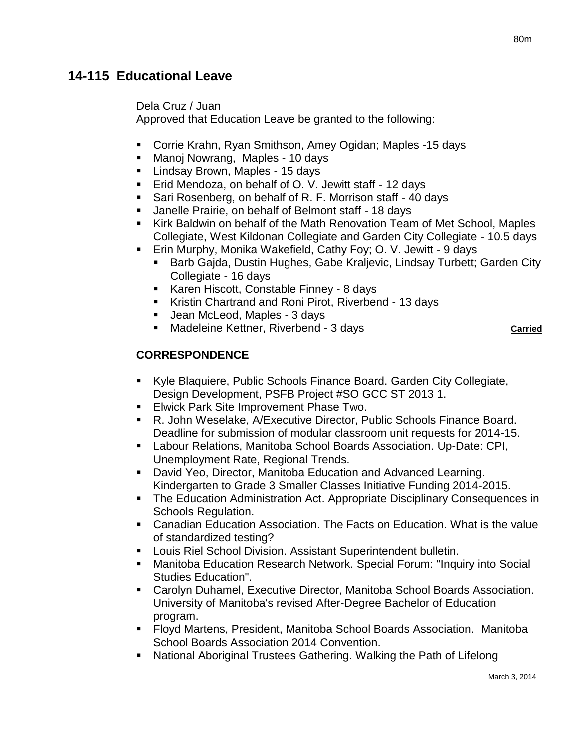Dela Cruz / Juan

Approved that Education Leave be granted to the following:

- Corrie Krahn, Ryan Smithson, Amey Ogidan; Maples -15 days
- Manoj Nowrang, Maples 10 days
- **Lindsay Brown, Maples 15 days**
- Erid Mendoza, on behalf of O. V. Jewitt staff 12 days
- **Sari Rosenberg, on behalf of R. F. Morrison staff 40 days**
- Janelle Prairie, on behalf of Belmont staff 18 days
- Kirk Baldwin on behalf of the Math Renovation Team of Met School, Maples Collegiate, West Kildonan Collegiate and Garden City Collegiate - 10.5 days
- Erin Murphy, Monika Wakefield, Cathy Foy; O. V. Jewitt 9 days
	- Barb Gajda, Dustin Hughes, Gabe Kraljevic, Lindsay Turbett; Garden City Collegiate - 16 days
	- Karen Hiscott, Constable Finney 8 days
	- Kristin Chartrand and Roni Pirot, Riverbend 13 days
	- Jean McLeod, Maples 3 days
	- **Madeleine Kettner, Riverbend 3 days Carried Carried**

# **CORRESPONDENCE**

- Kyle Blaquiere, Public Schools Finance Board. Garden City Collegiate, Design Development, PSFB Project #SO GCC ST 2013 1.
- **Elwick Park Site Improvement Phase Two.**
- R. John Weselake, A/Executive Director, Public Schools Finance Board. Deadline for submission of modular classroom unit requests for 2014-15.
- Labour Relations, Manitoba School Boards Association. Up-Date: CPI, Unemployment Rate, Regional Trends.
- David Yeo, Director, Manitoba Education and Advanced Learning. Kindergarten to Grade 3 Smaller Classes Initiative Funding 2014-2015.
- **The Education Administration Act. Appropriate Disciplinary Consequences in** Schools Regulation.
- Canadian Education Association. The Facts on Education. What is the value of standardized testing?
- Louis Riel School Division. Assistant Superintendent bulletin.
- Manitoba Education Research Network. Special Forum: "Inquiry into Social Studies Education".
- Carolyn Duhamel, Executive Director, Manitoba School Boards Association. University of Manitoba's revised After-Degree Bachelor of Education program.
- Floyd Martens, President, Manitoba School Boards Association. Manitoba School Boards Association 2014 Convention.
- National Aboriginal Trustees Gathering. Walking the Path of Lifelong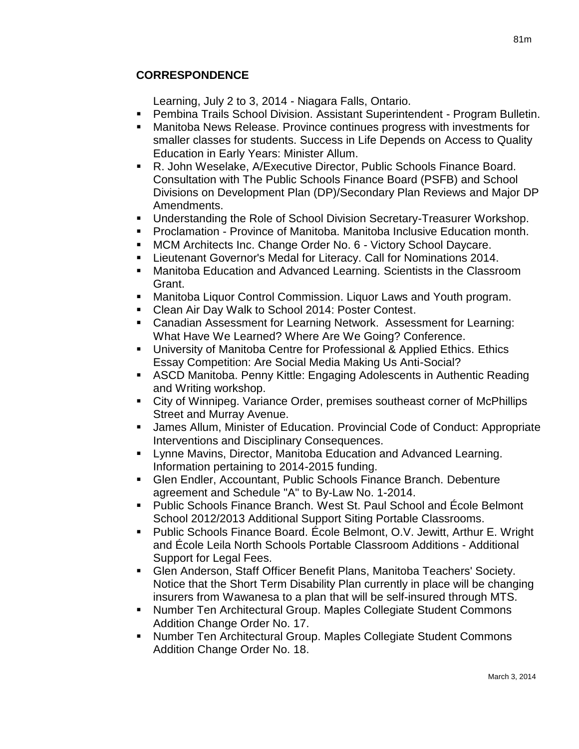# **CORRESPONDENCE**

Learning, July 2 to 3, 2014 - Niagara Falls, Ontario.

- Pembina Trails School Division. Assistant Superintendent Program Bulletin.
- Manitoba News Release. Province continues progress with investments for smaller classes for students. Success in Life Depends on Access to Quality Education in Early Years: Minister Allum.
- R. John Weselake, A/Executive Director, Public Schools Finance Board. Consultation with The Public Schools Finance Board (PSFB) and School Divisions on Development Plan (DP)/Secondary Plan Reviews and Major DP Amendments.
- Understanding the Role of School Division Secretary-Treasurer Workshop.
- Proclamation Province of Manitoba. Manitoba Inclusive Education month.
- MCM Architects Inc. Change Order No. 6 Victory School Daycare.
- Lieutenant Governor's Medal for Literacy. Call for Nominations 2014.
- Manitoba Education and Advanced Learning. Scientists in the Classroom Grant.
- Manitoba Liquor Control Commission. Liquor Laws and Youth program.
- Clean Air Day Walk to School 2014: Poster Contest.
- Canadian Assessment for Learning Network. Assessment for Learning: What Have We Learned? Where Are We Going? Conference.
- University of Manitoba Centre for Professional & Applied Ethics. Ethics Essay Competition: Are Social Media Making Us Anti-Social?
- ASCD Manitoba. Penny Kittle: Engaging Adolescents in Authentic Reading and Writing workshop.
- City of Winnipeg. Variance Order, premises southeast corner of McPhillips Street and Murray Avenue.
- James Allum, Minister of Education. Provincial Code of Conduct: Appropriate Interventions and Disciplinary Consequences.
- Lynne Mavins, Director, Manitoba Education and Advanced Learning. Information pertaining to 2014-2015 funding.
- Glen Endler, Accountant, Public Schools Finance Branch. Debenture agreement and Schedule "A" to By-Law No. 1-2014.
- Public Schools Finance Branch. West St. Paul School and École Belmont School 2012/2013 Additional Support Siting Portable Classrooms.
- Public Schools Finance Board. École Belmont, O.V. Jewitt, Arthur E. Wright and École Leila North Schools Portable Classroom Additions - Additional Support for Legal Fees.
- Glen Anderson, Staff Officer Benefit Plans, Manitoba Teachers' Society. Notice that the Short Term Disability Plan currently in place will be changing insurers from Wawanesa to a plan that will be self-insured through MTS.
- Number Ten Architectural Group. Maples Collegiate Student Commons Addition Change Order No. 17.
- Number Ten Architectural Group. Maples Collegiate Student Commons Addition Change Order No. 18.